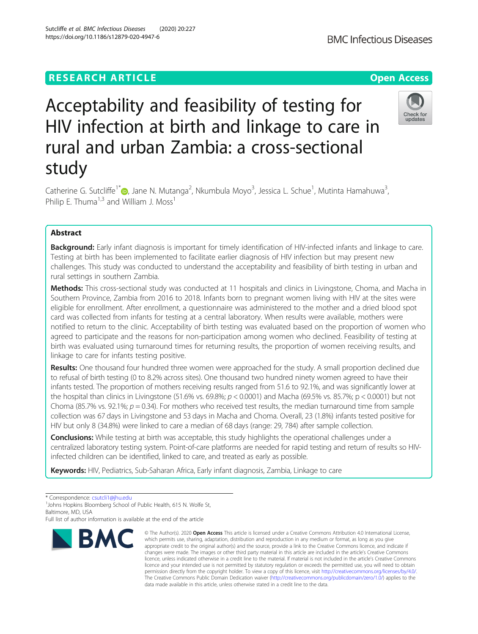# **RESEARCH ARTICLE Example 2014 12:30 The Contract of Contract ACCESS**

# Acceptability and feasibility of testing for HIV infection at birth and linkage to care in rural and urban Zambia: a cross-sectional study

Catherine G. Sutcliffe<sup>1\*</sup>®[,](http://orcid.org/0000-0001-8512-8326) Jane N. Mutanga<sup>2</sup>, Nkumbula Moyo<sup>3</sup>, Jessica L. Schue<sup>1</sup>, Mutinta Hamahuwa<sup>3</sup> , Philip E. Thuma<sup>1,3</sup> and William J. Moss<sup>1</sup>

# Abstract

**Background:** Early infant diagnosis is important for timely identification of HIV-infected infants and linkage to care. Testing at birth has been implemented to facilitate earlier diagnosis of HIV infection but may present new challenges. This study was conducted to understand the acceptability and feasibility of birth testing in urban and rural settings in southern Zambia.

Methods: This cross-sectional study was conducted at 11 hospitals and clinics in Livingstone, Choma, and Macha in Southern Province, Zambia from 2016 to 2018. Infants born to pregnant women living with HIV at the sites were eligible for enrollment. After enrollment, a questionnaire was administered to the mother and a dried blood spot card was collected from infants for testing at a central laboratory. When results were available, mothers were notified to return to the clinic. Acceptability of birth testing was evaluated based on the proportion of women who agreed to participate and the reasons for non-participation among women who declined. Feasibility of testing at birth was evaluated using turnaround times for returning results, the proportion of women receiving results, and linkage to care for infants testing positive.

Results: One thousand four hundred three women were approached for the study. A small proportion declined due to refusal of birth testing (0 to 8.2% across sites). One thousand two hundred ninety women agreed to have their infants tested. The proportion of mothers receiving results ranged from 51.6 to 92.1%, and was significantly lower at the hospital than clinics in Livingstone (51.6% vs. 69.8%;  $p < 0.0001$ ) and Macha (69.5% vs. 85.7%;  $p < 0.0001$ ) but not Choma (85.7% vs. 92.1%;  $p = 0.34$ ). For mothers who received test results, the median turnaround time from sample collection was 67 days in Livingstone and 53 days in Macha and Choma. Overall, 23 (1.8%) infants tested positive for HIV but only 8 (34.8%) were linked to care a median of 68 days (range: 29, 784) after sample collection.

**Conclusions:** While testing at birth was acceptable, this study highlights the operational challenges under a centralized laboratory testing system. Point-of-care platforms are needed for rapid testing and return of results so HIVinfected children can be identified, linked to care, and treated as early as possible.

Keywords: HIV, Pediatrics, Sub-Saharan Africa, Early infant diagnosis, Zambia, Linkage to care

**BMC** 

<sup>1</sup> Johns Hopkins Bloomberg School of Public Health, 615 N. Wolfe St, Baltimore, MD, USA



© The Author(s), 2020 **Open Access** This article is licensed under a Creative Commons Attribution 4.0 International License, which permits use, sharing, adaptation, distribution and reproduction in any medium or format, as long as you give





<sup>\*</sup> Correspondence: [csutcli1@jhu.edu](mailto:csutcli1@jhu.edu) <sup>1</sup>

Full list of author information is available at the end of the article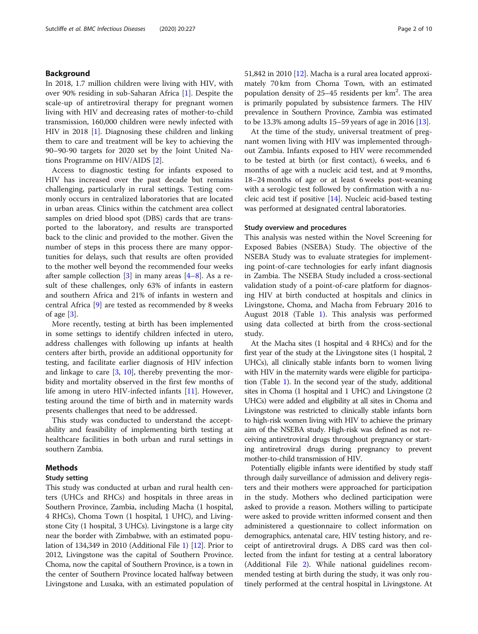# Background

In 2018, 1.7 million children were living with HIV, with over 90% residing in sub-Saharan Africa [[1\]](#page-8-0). Despite the scale-up of antiretroviral therapy for pregnant women living with HIV and decreasing rates of mother-to-child transmission, 160,000 children were newly infected with HIV in 2018 [[1\]](#page-8-0). Diagnosing these children and linking them to care and treatment will be key to achieving the 90–90-90 targets for 2020 set by the Joint United Nations Programme on HIV/AIDS [[2\]](#page-8-0).

Access to diagnostic testing for infants exposed to HIV has increased over the past decade but remains challenging, particularly in rural settings. Testing commonly occurs in centralized laboratories that are located in urban areas. Clinics within the catchment area collect samples on dried blood spot (DBS) cards that are transported to the laboratory, and results are transported back to the clinic and provided to the mother. Given the number of steps in this process there are many opportunities for delays, such that results are often provided to the mother well beyond the recommended four weeks after sample collection  $\begin{bmatrix} 3 \end{bmatrix}$  in many areas  $\begin{bmatrix} 4-8 \end{bmatrix}$  $\begin{bmatrix} 4-8 \end{bmatrix}$  $\begin{bmatrix} 4-8 \end{bmatrix}$  $\begin{bmatrix} 4-8 \end{bmatrix}$  $\begin{bmatrix} 4-8 \end{bmatrix}$ . As a result of these challenges, only 63% of infants in eastern and southern Africa and 21% of infants in western and central Africa [\[9](#page-8-0)] are tested as recommended by 8 weeks of age  $[3]$  $[3]$ .

More recently, testing at birth has been implemented in some settings to identify children infected in utero, address challenges with following up infants at health centers after birth, provide an additional opportunity for testing, and facilitate earlier diagnosis of HIV infection and linkage to care  $[3, 10]$  $[3, 10]$  $[3, 10]$ , thereby preventing the morbidity and mortality observed in the first few months of life among in utero HIV-infected infants [\[11\]](#page-8-0). However, testing around the time of birth and in maternity wards presents challenges that need to be addressed.

This study was conducted to understand the acceptability and feasibility of implementing birth testing at healthcare facilities in both urban and rural settings in southern Zambia.

# Methods

# Study setting

This study was conducted at urban and rural health centers (UHCs and RHCs) and hospitals in three areas in Southern Province, Zambia, including Macha (1 hospital, 4 RHCs), Choma Town (1 hospital, 1 UHC), and Livingstone City (1 hospital, 3 UHCs). Livingstone is a large city near the border with Zimbabwe, with an estimated population of 134,349 in 2010 (Additional File [1\)](#page-7-0) [\[12\]](#page-8-0). Prior to 2012, Livingstone was the capital of Southern Province. Choma, now the capital of Southern Province, is a town in the center of Southern Province located halfway between Livingstone and Lusaka, with an estimated population of 51,842 in 2010 [\[12\]](#page-8-0). Macha is a rural area located approximately 70 km from Choma Town, with an estimated population density of  $25-45$  residents per km<sup>2</sup>. The area is primarily populated by subsistence farmers. The HIV prevalence in Southern Province, Zambia was estimated to be 13.3% among adults 15–59 years of age in 2016 [[13](#page-8-0)].

At the time of the study, universal treatment of pregnant women living with HIV was implemented throughout Zambia. Infants exposed to HIV were recommended to be tested at birth (or first contact), 6 weeks, and 6 months of age with a nucleic acid test, and at 9 months, 18–24 months of age or at least 6 weeks post-weaning with a serologic test followed by confirmation with a nucleic acid test if positive [[14](#page-8-0)]. Nucleic acid-based testing was performed at designated central laboratories.

#### Study overview and procedures

This analysis was nested within the Novel Screening for Exposed Babies (NSEBA) Study. The objective of the NSEBA Study was to evaluate strategies for implementing point-of-care technologies for early infant diagnosis in Zambia. The NSEBA Study included a cross-sectional validation study of a point-of-care platform for diagnosing HIV at birth conducted at hospitals and clinics in Livingstone, Choma, and Macha from February 2016 to August 2018 (Table [1](#page-2-0)). This analysis was performed using data collected at birth from the cross-sectional study.

At the Macha sites (1 hospital and 4 RHCs) and for the first year of the study at the Livingstone sites (1 hospital, 2 UHCs), all clinically stable infants born to women living with HIV in the maternity wards were eligible for participation (Table [1\)](#page-2-0). In the second year of the study, additional sites in Choma (1 hospital and 1 UHC) and Livingstone (2 UHCs) were added and eligibility at all sites in Choma and Livingstone was restricted to clinically stable infants born to high-risk women living with HIV to achieve the primary aim of the NSEBA study. High-risk was defined as not receiving antiretroviral drugs throughout pregnancy or starting antiretroviral drugs during pregnancy to prevent mother-to-child transmission of HIV.

Potentially eligible infants were identified by study staff through daily surveillance of admission and delivery registers and their mothers were approached for participation in the study. Mothers who declined participation were asked to provide a reason. Mothers willing to participate were asked to provide written informed consent and then administered a questionnaire to collect information on demographics, antenatal care, HIV testing history, and receipt of antiretroviral drugs. A DBS card was then collected from the infant for testing at a central laboratory (Additional File [2](#page-7-0)). While national guidelines recommended testing at birth during the study, it was only routinely performed at the central hospital in Livingstone. At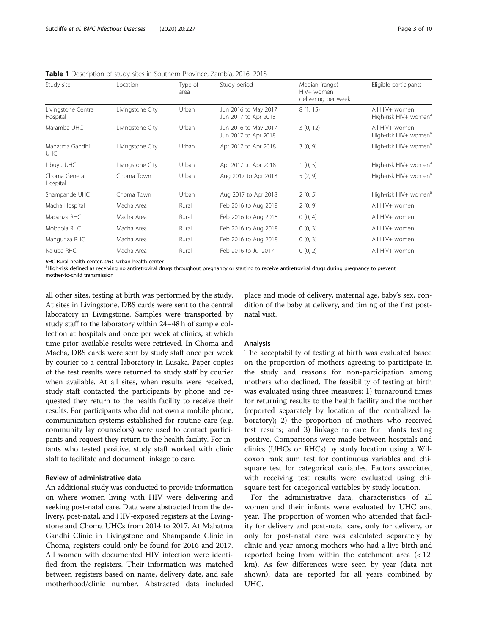<span id="page-2-0"></span>

|  | <b>Table 1</b> Description of study sites in Southern Province, Zambia, 2016–2018 |
|--|-----------------------------------------------------------------------------------|
|--|-----------------------------------------------------------------------------------|

| Study site                      | Location         | Type of<br>area | Study period                                 | Median (range)<br>HIV+ women<br>delivering per week | Eligible participants                               |  |
|---------------------------------|------------------|-----------------|----------------------------------------------|-----------------------------------------------------|-----------------------------------------------------|--|
| Livingstone Central<br>Hospital | Livingstone City | Urban           | Jun 2016 to May 2017<br>Jun 2017 to Apr 2018 | 8(1, 15)                                            | All HIV+ women<br>High-risk HIV+ women <sup>a</sup> |  |
| Maramba UHC                     | Livingstone City | Urban           | Jun 2016 to May 2017<br>Jun 2017 to Apr 2018 | 3(0, 12)                                            | All HIV+ women<br>High-risk HIV+ women <sup>a</sup> |  |
| Mahatma Gandhi<br><b>UHC</b>    | Livingstone City | Urban           | Apr 2017 to Apr 2018                         | 3(0, 9)                                             | High-risk HIV+ women <sup>a</sup>                   |  |
| Libuyu UHC                      | Livingstone City | Urban           | Apr 2017 to Apr 2018                         | 1(0, 5)                                             | High-risk HIV+ women <sup>a</sup>                   |  |
| Choma General<br>Hospital       | Choma Town       | Urban           | Aug 2017 to Apr 2018                         | 5(2, 9)                                             | High-risk HIV+ women <sup>a</sup>                   |  |
| Shampande UHC                   | Choma Town       | Urban           | Aug 2017 to Apr 2018                         | 2(0, 5)                                             | High-risk HIV+ women <sup>a</sup>                   |  |
| Macha Hospital                  | Macha Area       | Rural           | Feb 2016 to Aug 2018                         | 2(0, 9)                                             | All HIV+ women                                      |  |
| Mapanza RHC                     | Macha Area       | Rural           | Feb 2016 to Aug 2018                         | 0(0, 4)                                             | All HIV+ women                                      |  |
| Moboola RHC                     | Macha Area       | Rural           | Feb 2016 to Aug 2018                         | 0(0, 3)                                             | All HIV+ women                                      |  |
| Mangunza RHC                    | Macha Area       | Rural           | Feb 2016 to Aug 2018                         | 0(0, 3)                                             | All HIV+ women                                      |  |
| Nalube RHC                      | Macha Area       | Rural           | Feb 2016 to Jul 2017                         | 0(0, 2)                                             | All HIV+ women                                      |  |

RHC Rural health center, UHC Urban health center

<sup>a</sup>High-risk defined as receiving no antiretroviral drugs throughout pregnancy or starting to receive antiretroviral drugs during pregnancy to prevent mother-to-child transmission

all other sites, testing at birth was performed by the study. At sites in Livingstone, DBS cards were sent to the central laboratory in Livingstone. Samples were transported by study staff to the laboratory within 24–48 h of sample collection at hospitals and once per week at clinics, at which time prior available results were retrieved. In Choma and Macha, DBS cards were sent by study staff once per week by courier to a central laboratory in Lusaka. Paper copies of the test results were returned to study staff by courier when available. At all sites, when results were received, study staff contacted the participants by phone and requested they return to the health facility to receive their results. For participants who did not own a mobile phone, communication systems established for routine care (e.g. community lay counselors) were used to contact participants and request they return to the health facility. For infants who tested positive, study staff worked with clinic staff to facilitate and document linkage to care.

# Review of administrative data

An additional study was conducted to provide information on where women living with HIV were delivering and seeking post-natal care. Data were abstracted from the delivery, post-natal, and HIV-exposed registers at the Livingstone and Choma UHCs from 2014 to 2017. At Mahatma Gandhi Clinic in Livingstone and Shampande Clinic in Choma, registers could only be found for 2016 and 2017. All women with documented HIV infection were identified from the registers. Their information was matched between registers based on name, delivery date, and safe motherhood/clinic number. Abstracted data included place and mode of delivery, maternal age, baby's sex, condition of the baby at delivery, and timing of the first postnatal visit.

#### Analysis

The acceptability of testing at birth was evaluated based on the proportion of mothers agreeing to participate in the study and reasons for non-participation among mothers who declined. The feasibility of testing at birth was evaluated using three measures: 1) turnaround times for returning results to the health facility and the mother (reported separately by location of the centralized laboratory); 2) the proportion of mothers who received test results; and 3) linkage to care for infants testing positive. Comparisons were made between hospitals and clinics (UHCs or RHCs) by study location using a Wilcoxon rank sum test for continuous variables and chisquare test for categorical variables. Factors associated with receiving test results were evaluated using chisquare test for categorical variables by study location.

For the administrative data, characteristics of all women and their infants were evaluated by UHC and year. The proportion of women who attended that facility for delivery and post-natal care, only for delivery, or only for post-natal care was calculated separately by clinic and year among mothers who had a live birth and reported being from within the catchment area (< 12 km). As few differences were seen by year (data not shown), data are reported for all years combined by UHC.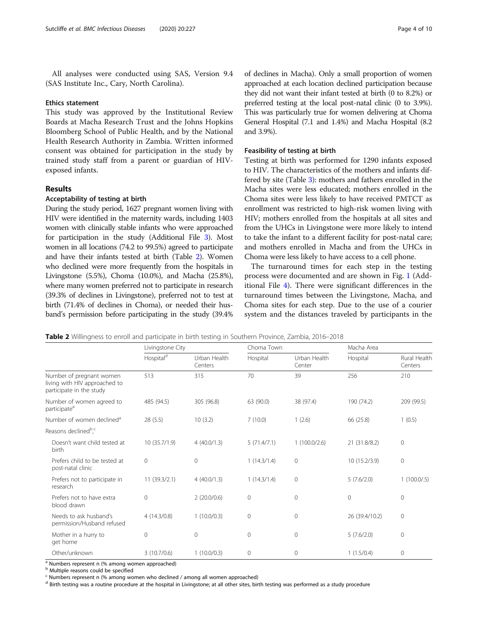All analyses were conducted using SAS, Version 9.4 (SAS Institute Inc., Cary, North Carolina).

#### Ethics statement

This study was approved by the Institutional Review Boards at Macha Research Trust and the Johns Hopkins Bloomberg School of Public Health, and by the National Health Research Authority in Zambia. Written informed consent was obtained for participation in the study by trained study staff from a parent or guardian of HIVexposed infants.

# Results

### Acceptability of testing at birth

During the study period, 1627 pregnant women living with HIV were identified in the maternity wards, including 1403 women with clinically stable infants who were approached for participation in the study (Additional File [3](#page-7-0)). Most women in all locations (74.2 to 99.5%) agreed to participate and have their infants tested at birth (Table 2). Women who declined were more frequently from the hospitals in Livingstone (5.5%), Choma (10.0%), and Macha (25.8%), where many women preferred not to participate in research (39.3% of declines in Livingstone), preferred not to test at birth (71.4% of declines in Choma), or needed their husband's permission before participating in the study (39.4%

of declines in Macha). Only a small proportion of women approached at each location declined participation because they did not want their infant tested at birth (0 to 8.2%) or preferred testing at the local post-natal clinic (0 to 3.9%). This was particularly true for women delivering at Choma General Hospital (7.1 and 1.4%) and Macha Hospital (8.2 and 3.9%).

#### Feasibility of testing at birth

Testing at birth was performed for 1290 infants exposed to HIV. The characteristics of the mothers and infants differed by site (Table [3](#page-4-0)): mothers and fathers enrolled in the Macha sites were less educated; mothers enrolled in the Choma sites were less likely to have received PMTCT as enrollment was restricted to high-risk women living with HIV; mothers enrolled from the hospitals at all sites and from the UHCs in Livingstone were more likely to intend to take the infant to a different facility for post-natal care; and mothers enrolled in Macha and from the UHCs in Choma were less likely to have access to a cell phone.

The turnaround times for each step in the testing process were documented and are shown in Fig. [1](#page-4-0) (Additional File [4](#page-8-0)). There were significant differences in the turnaround times between the Livingstone, Macha, and Choma sites for each step. Due to the use of a courier system and the distances traveled by participants in the

Table 2 Willingness to enroll and participate in birth testing in Southern Province, Zambia, 2016–2018

Livingstone City Choma Town Macha Area Hospital<sup>d</sup> Urban Health Centers Hospital Urban Health Center Hospital Rural Health Centers Number of pregnant women living with HIV approached to participate in the study 513 315 70 39 256 210 Number of women agreed to participate<sup>a</sup> 485 (94.5) 305 (96.8) 63 (90.0) 38 (97.4) 190 (74.2) 209 (99.5) Number of women declined<sup>a</sup> 28 (5.5) 10 (3.2) 7 (10.0) 1 (2.6) 66 (25.8) 1 (0.5) Reasons declined<sup>b,c</sup> , Doesn't want child tested at birth 10 (35.7/1.9) 4 (40.0/1.3) 5 (71.4/7.1) 1 (100.0/2.6) 21 (31.8/8.2) 0 Prefers child to be tested at post-natal clinic 0 0 0 1 (14.3/1.4) 0 10 (15.2/3.9) 0 Prefers not to participate in research 11 (39.3/2.1) 4 (40.0/1.3) 1 (14.3/1.4) 0 5 (7.6/2.0) 1 (100.0/.5) Prefers not to have extra blood drawn 0 2 (20.0/0.6) 0 0 0 0 0 Needs to ask husband's permission/Husband refused 4 (14.3/0.8) 1 (10.0/0.3) 0 0 26 (39.4/10.2) 0 Mother in a hurry to get home 0 0 0 0 0 5 (7.6/2.0) 0 Other/unknown 3 (10.7/0.6) 1 (10.0/0.3) 0 0 1 (1.5/0.4) 0

a Numbers represent n (% among women approached)

Multiple reasons could be specified

Numbers represent n (% among women who declined / among all women approached)

<sup>d</sup> Birth testing was a routine procedure at the hospital in Livingstone; at all other sites, birth testing was performed as a study procedure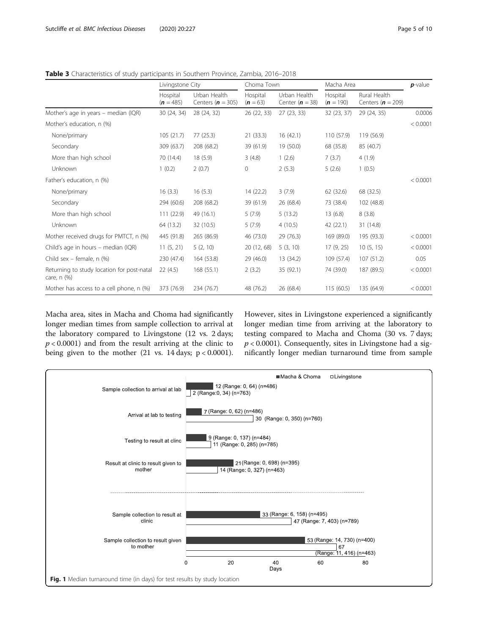<span id="page-4-0"></span>

| Table 3 Characteristics of study participants in Southern Province, Zambia, 2016-2018 |  |  |
|---------------------------------------------------------------------------------------|--|--|
|---------------------------------------------------------------------------------------|--|--|

|                                                           | Livingstone City        |                                     | Choma Town             |                                   | Macha Area              |                                       | $p$ -value |
|-----------------------------------------------------------|-------------------------|-------------------------------------|------------------------|-----------------------------------|-------------------------|---------------------------------------|------------|
|                                                           | Hospital<br>$(n = 485)$ | Urban Health<br>Centers $(n = 305)$ | Hospital<br>$(n = 63)$ | Urban Health<br>Center $(n = 38)$ | Hospital<br>$(n = 190)$ | Rural Health<br>Centers ( $n = 209$ ) |            |
| Mother's age in years - median (IQR)                      | 30 (24, 34)             | 28 (24, 32)                         | 26 (22, 33)            | 27(23, 33)                        | 32 (23, 37)             | 29 (24, 35)                           | 0.0006     |
| Mother's education, n (%)                                 |                         |                                     |                        |                                   |                         |                                       | < 0.0001   |
| None/primary                                              | 105 (21.7)              | 77(25.3)                            | 21(33.3)               | 16(42.1)                          | 110 (57.9)              | 119 (56.9)                            |            |
| Secondary                                                 | 309 (63.7)              | 208 (68.2)                          | 39 (61.9)              | 19 (50.0)                         | 68 (35.8)               | 85 (40.7)                             |            |
| More than high school                                     | 70 (14.4)               | 18(5.9)                             | 3(4.8)                 | 1(2.6)                            | 7(3.7)                  | 4(1.9)                                |            |
| Unknown                                                   | 1(0.2)                  | 2(0.7)                              | 0                      | 2(5.3)                            | 5(2.6)                  | 1(0.5)                                |            |
| Father's education, n (%)                                 |                         |                                     |                        |                                   |                         |                                       | < 0.0001   |
| None/primary                                              | 16(3.3)                 | 16(5.3)                             | 14 (22.2)              | 3(7.9)                            | 62 (32.6)               | 68 (32.5)                             |            |
| Secondary                                                 | 294 (60.6)              | 208 (68.2)                          | 39 (61.9)              | 26 (68.4)                         | 73 (38.4)               | 102 (48.8)                            |            |
| More than high school                                     | 111 (22.9)              | 49 (16.1)                           | 5(7.9)                 | 5(13.2)                           | 13(6.8)                 | 8(3.8)                                |            |
| Unknown                                                   | 64 (13.2)               | 32 (10.5)                           | 5(7.9)                 | 4(10.5)                           | 42 (22.1)               | 31 (14.8)                             |            |
| Mother received drugs for PMTCT, n (%)                    | 445 (91.8)              | 265 (86.9)                          | 46 (73.0)              | 29 (76.3)                         | 169 (89.0)              | 195 (93.3)                            | < 0.0001   |
| Child's age in hours - median (IQR)                       | 11(5, 21)               | 5(2, 10)                            | 20 (12, 68)            | 5(3, 10)                          | 17 (9, 25)              | 10(5, 15)                             | < 0.0001   |
| Child sex - female, n (%)                                 | 230 (47.4)              | 164 (53.8)                          | 29 (46.0)              | 13 (34.2)                         | 109 (57.4)              | 107 (51.2)                            | 0.05       |
| Returning to study location for post-natal<br>care, n (%) | 22(4.5)                 | 168(55.1)                           | 2(3.2)                 | 35 (92.1)                         | 74 (39.0)               | 187 (89.5)                            | < 0.0001   |
| Mother has access to a cell phone, n (%)                  | 373 (76.9)              | 234 (76.7)                          | 48 (76.2)              | 26 (68.4)                         | 115 (60.5)              | 135 (64.9)                            | < 0.0001   |

Macha area, sites in Macha and Choma had significantly longer median times from sample collection to arrival at the laboratory compared to Livingstone (12 vs. 2 days;  $p < 0.0001$ ) and from the result arriving at the clinic to being given to the mother  $(21 \text{ vs. } 14 \text{ days}; \text{ p} < 0.0001).$  However, sites in Livingstone experienced a significantly longer median time from arriving at the laboratory to testing compared to Macha and Choma (30 vs. 7 days;  $p < 0.0001$ ). Consequently, sites in Livingstone had a significantly longer median turnaround time from sample

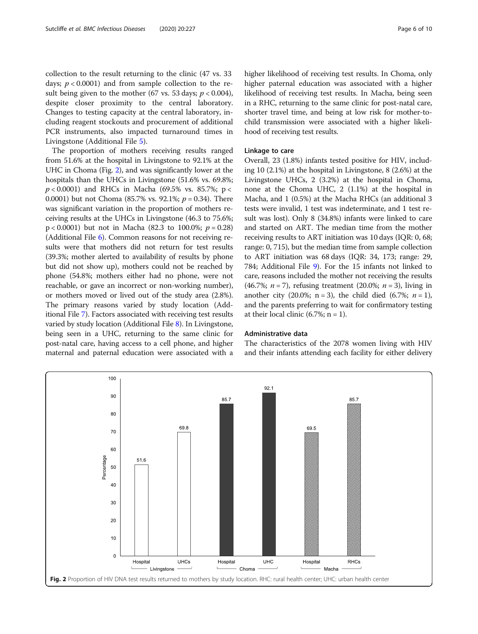collection to the result returning to the clinic (47 vs. 33 days;  $p < 0.0001$ ) and from sample collection to the result being given to the mother (67 vs. 53 days;  $p < 0.004$ ), despite closer proximity to the central laboratory. Changes to testing capacity at the central laboratory, including reagent stockouts and procurement of additional PCR instruments, also impacted turnaround times in Livingstone (Additional File [5\)](#page-8-0).

The proportion of mothers receiving results ranged from 51.6% at the hospital in Livingstone to 92.1% at the UHC in Choma (Fig. 2), and was significantly lower at the hospitals than the UHCs in Livingstone (51.6% vs. 69.8%;  $p < 0.0001$ ) and RHCs in Macha (69.5% vs. 85.7%; p < 0.0001) but not Choma (85.7% vs. 92.1%;  $p = 0.34$ ). There was significant variation in the proportion of mothers receiving results at the UHCs in Livingstone (46.3 to 75.6%;  $p < 0.0001$ ) but not in Macha (82.3 to 100.0%;  $p = 0.28$ ) (Additional File [6](#page-8-0)). Common reasons for not receiving results were that mothers did not return for test results (39.3%; mother alerted to availability of results by phone but did not show up), mothers could not be reached by phone (54.8%; mothers either had no phone, were not reachable, or gave an incorrect or non-working number), or mothers moved or lived out of the study area (2.8%). The primary reasons varied by study location (Additional File [7](#page-8-0)). Factors associated with receiving test results varied by study location (Additional File [8](#page-8-0)). In Livingstone, being seen in a UHC, returning to the same clinic for post-natal care, having access to a cell phone, and higher maternal and paternal education were associated with a higher likelihood of receiving test results. In Choma, only higher paternal education was associated with a higher likelihood of receiving test results. In Macha, being seen in a RHC, returning to the same clinic for post-natal care, shorter travel time, and being at low risk for mother-tochild transmission were associated with a higher likelihood of receiving test results.

#### Linkage to care

Overall, 23 (1.8%) infants tested positive for HIV, including 10 (2.1%) at the hospital in Livingstone, 8 (2.6%) at the Livingstone UHCs, 2 (3.2%) at the hospital in Choma, none at the Choma UHC, 2 (1.1%) at the hospital in Macha, and 1 (0.5%) at the Macha RHCs (an additional 3 tests were invalid, 1 test was indeterminate, and 1 test result was lost). Only 8 (34.8%) infants were linked to care and started on ART. The median time from the mother receiving results to ART initiation was 10 days (IQR: 0, 68; range: 0, 715), but the median time from sample collection to ART initiation was 68 days (IQR: 34, 173; range: 29, 784; Additional File [9](#page-8-0)). For the 15 infants not linked to care, reasons included the mother not receiving the results (46.7%;  $n = 7$ ), refusing treatment (20.0%;  $n = 3$ ), living in another city (20.0%;  $n = 3$ ), the child died (6.7%;  $n = 1$ ), and the parents preferring to wait for confirmatory testing at their local clinic  $(6.7\%; n = 1)$ .

#### Administrative data

The characteristics of the 2078 women living with HIV and their infants attending each facility for either delivery

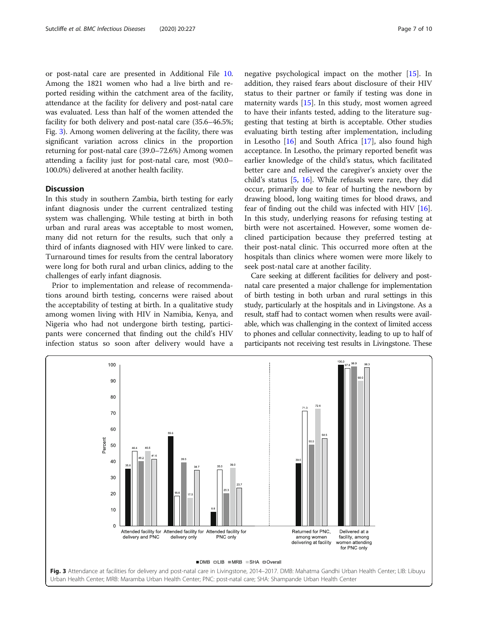or post-natal care are presented in Additional File [10](#page-8-0). Among the 1821 women who had a live birth and reported residing within the catchment area of the facility, attendance at the facility for delivery and post-natal care was evaluated. Less than half of the women attended the facility for both delivery and post-natal care (35.6–46.5%; Fig. 3). Among women delivering at the facility, there was significant variation across clinics in the proportion returning for post-natal care (39.0–72.6%) Among women attending a facility just for post-natal care, most (90.0– 100.0%) delivered at another health facility.

# **Discussion**

In this study in southern Zambia, birth testing for early infant diagnosis under the current centralized testing system was challenging. While testing at birth in both urban and rural areas was acceptable to most women, many did not return for the results, such that only a third of infants diagnosed with HIV were linked to care. Turnaround times for results from the central laboratory were long for both rural and urban clinics, adding to the challenges of early infant diagnosis.

Prior to implementation and release of recommendations around birth testing, concerns were raised about the acceptability of testing at birth. In a qualitative study among women living with HIV in Namibia, Kenya, and Nigeria who had not undergone birth testing, participants were concerned that finding out the child's HIV infection status so soon after delivery would have a negative psychological impact on the mother [\[15](#page-8-0)]. In addition, they raised fears about disclosure of their HIV status to their partner or family if testing was done in maternity wards  $[15]$ . In this study, most women agreed to have their infants tested, adding to the literature suggesting that testing at birth is acceptable. Other studies evaluating birth testing after implementation, including in Lesotho [[16](#page-8-0)] and South Africa [\[17](#page-9-0)], also found high acceptance. In Lesotho, the primary reported benefit was earlier knowledge of the child's status, which facilitated better care and relieved the caregiver's anxiety over the child's status [\[5](#page-8-0), [16](#page-8-0)]. While refusals were rare, they did occur, primarily due to fear of hurting the newborn by drawing blood, long waiting times for blood draws, and fear of finding out the child was infected with HIV [\[16](#page-8-0)]. In this study, underlying reasons for refusing testing at birth were not ascertained. However, some women declined participation because they preferred testing at their post-natal clinic. This occurred more often at the hospitals than clinics where women were more likely to seek post-natal care at another facility.

Care seeking at different facilities for delivery and postnatal care presented a major challenge for implementation of birth testing in both urban and rural settings in this study, particularly at the hospitals and in Livingstone. As a result, staff had to contact women when results were available, which was challenging in the context of limited access to phones and cellular connectivity, leading to up to half of participants not receiving test results in Livingstone. These

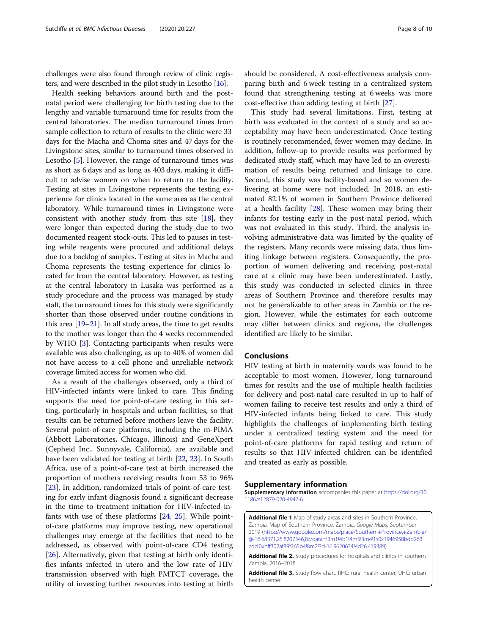<span id="page-7-0"></span>challenges were also found through review of clinic registers, and were described in the pilot study in Lesotho [[16](#page-8-0)].

Health seeking behaviors around birth and the postnatal period were challenging for birth testing due to the lengthy and variable turnaround time for results from the central laboratories. The median turnaround times from sample collection to return of results to the clinic were 33 days for the Macha and Choma sites and 47 days for the Livingstone sites, similar to turnaround times observed in Lesotho [[5\]](#page-8-0). However, the range of turnaround times was as short as 6 days and as long as 403 days, making it difficult to advise women on when to return to the facility. Testing at sites in Livingstone represents the testing experience for clinics located in the same area as the central laboratory. While turnaround times in Livingstone were consistent with another study from this site [[18](#page-9-0)], they were longer than expected during the study due to two documented reagent stock-outs. This led to pauses in testing while reagents were procured and additional delays due to a backlog of samples. Testing at sites in Macha and Choma represents the testing experience for clinics located far from the central laboratory. However, as testing at the central laboratory in Lusaka was performed as a study procedure and the process was managed by study staff, the turnaround times for this study were significantly shorter than those observed under routine conditions in this area  $[19-21]$  $[19-21]$  $[19-21]$ . In all study areas, the time to get results to the mother was longer than the 4 weeks recommended by WHO [\[3](#page-8-0)]. Contacting participants when results were available was also challenging, as up to 40% of women did not have access to a cell phone and unreliable network coverage limited access for women who did.

As a result of the challenges observed, only a third of HIV-infected infants were linked to care. This finding supports the need for point-of-care testing in this setting, particularly in hospitals and urban facilities, so that results can be returned before mothers leave the facility. Several point-of-care platforms, including the m-PIMA (Abbott Laboratories, Chicago, Illinois) and GeneXpert (Cepheid Inc., Sunnyvale, California), are available and have been validated for testing at birth [[22,](#page-9-0) [23\]](#page-9-0). In South Africa, use of a point-of-care test at birth increased the proportion of mothers receiving results from 53 to 96% [[23\]](#page-9-0). In addition, randomized trials of point-of-care testing for early infant diagnosis found a significant decrease in the time to treatment initiation for HIV-infected infants with use of these platforms [\[24,](#page-9-0) [25\]](#page-9-0). While pointof-care platforms may improve testing, new operational challenges may emerge at the facilities that need to be addressed, as observed with point-of-care CD4 testing [[26\]](#page-9-0). Alternatively, given that testing at birth only identifies infants infected in utero and the low rate of HIV transmission observed with high PMTCT coverage, the utility of investing further resources into testing at birth should be considered. A cost-effectiveness analysis comparing birth and 6 week testing in a centralized system found that strengthening testing at 6 weeks was more cost-effective than adding testing at birth [[27](#page-9-0)].

This study had several limitations. First, testing at birth was evaluated in the context of a study and so acceptability may have been underestimated. Once testing is routinely recommended, fewer women may decline. In addition, follow-up to provide results was performed by dedicated study staff, which may have led to an overestimation of results being returned and linkage to care. Second, this study was facility-based and so women delivering at home were not included. In 2018, an estimated 82.1% of women in Southern Province delivered at a health facility  $[28]$  $[28]$ . These women may bring their infants for testing early in the post-natal period, which was not evaluated in this study. Third, the analysis involving administrative data was limited by the quality of the registers. Many records were missing data, thus limiting linkage between registers. Consequently, the proportion of women delivering and receiving post-natal care at a clinic may have been underestimated. Lastly, this study was conducted in selected clinics in three areas of Southern Province and therefore results may not be generalizable to other areas in Zambia or the region. However, while the estimates for each outcome may differ between clinics and regions, the challenges identified are likely to be similar.

#### Conclusions

HIV testing at birth in maternity wards was found to be acceptable to most women. However, long turnaround times for results and the use of multiple health facilities for delivery and post-natal care resulted in up to half of women failing to receive test results and only a third of HIV-infected infants being linked to care. This study highlights the challenges of implementing birth testing under a centralized testing system and the need for point-of-care platforms for rapid testing and return of results so that HIV-infected children can be identified and treated as early as possible.

#### Supplementary information

Supplementary information accompanies this paper at [https://doi.org/10.](https://doi.org/10.1186/s12879-020-4947-6) [1186/s12879-020-4947-6.](https://doi.org/10.1186/s12879-020-4947-6)

Additional file 1 Map of study areas and sites in Southern Province, Zambia. Map of Southern Province, Zambia. Google Maps, September 2019 (https://www.google.com/maps/place/Southern+Province,+Zambia/ @-16.68371,25.8207546,8z/data=!3m1!4b1!4m5!3m4!1s0x1946958bdd263 cdd:0xbff302af89f265b4!8m2!3d-16.9620634!4d26.419389)

Additional file 2. Study procedures for hospitals and clinics in southern Zambia, 2016–2018

Additional file 3. Study flow chart. RHC: rural health center; UHC: urban health center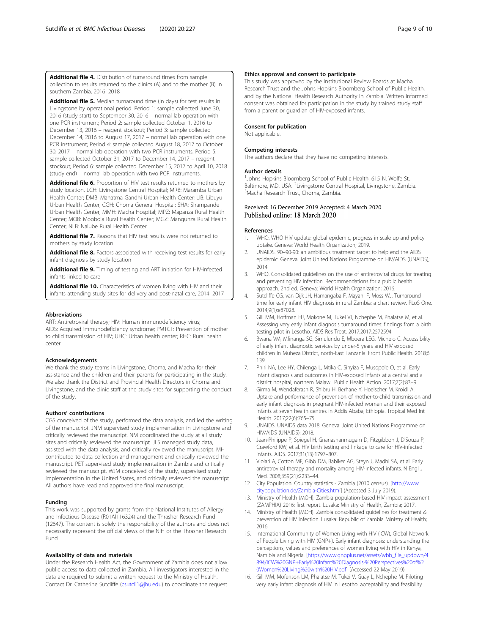<span id="page-8-0"></span>Additional file 4. Distribution of turnaround times from sample collection to results returned to the clinics (A) and to the mother (B) in southern Zambia, 2016–2018

Additional file 5. Median turnaround time (in days) for test results in Livingstone by operational period. Period 1: sample collected June 30, 2016 (study start) to September 30, 2016 – normal lab operation with one PCR instrument; Period 2: sample collected October 1, 2016 to December 13, 2016 – reagent stockout; Period 3: sample collected December 14, 2016 to August 17, 2017 – normal lab operation with one PCR instrument; Period 4: sample collected August 18, 2017 to October 30, 2017 – normal lab operation with two PCR instruments; Period 5: sample collected October 31, 2017 to December 14, 2017 – reagent stockout; Period 6: sample collected December 15, 2017 to April 10, 2018 (study end) – normal lab operation with two PCR instruments.

Additional file 6. Proportion of HIV test results returned to mothers by study location. LCH: Livingstone Central Hospital; MRB: Maramba Urban Health Center; DMB: Mahatma Gandhi Urban Health Center; LIB: Libuyu Urban Health Center; CGH: Choma General Hospital; SHA: Shampande Urban Health Center; MMH: Macha Hospital; MPZ: Mapanza Rural Health Center; MOB: Moobola Rural Health Center; MGZ: Mangunza Rural Health Center; NLB: Nalube Rural Health Center.

Additional file 7. Reasons that HIV test results were not returned to mothers by study location

Additional file 8. Factors associated with receiving test results for early infant diagnosis by study location

Additional file 9. Timing of testing and ART initiation for HIV-infected infants linked to care

Additional file 10. Characteristics of women living with HIV and their infants attending study sites for delivery and post-natal care, 2014–2017

#### Abbreviations

ART: Antiretroviral therapy; HIV: Human immunodeficiency virus; AIDS: Acquired immunodeficiency syndrome; PMTCT: Prevention of mother to child transmission of HIV; UHC: Urban health center; RHC: Rural health center

#### Acknowledgements

We thank the study teams in Livingstone, Choma, and Macha for their assistance and the children and their parents for participating in the study. We also thank the District and Provincial Health Directors in Choma and Livingstone, and the clinic staff at the study sites for supporting the conduct of the study.

#### Authors' contributions

CGS conceived of the study, performed the data analysis, and led the writing of the manuscript. JNM supervised study implementation in Livingstone and critically reviewed the manuscript. NM coordinated the study at all study sites and critically reviewed the manuscript. JLS managed study data, assisted with the data analysis, and critically reviewed the manuscript. MH contributed to data collection and management and critically reviewed the manuscript. PET supervised study implementation in Zambia and critically reviewed the manuscript. WJM conceived of the study, supervised study implementation in the United States, and critically reviewed the manuscript. All authors have read and approved the final manuscript.

#### Funding

This work was supported by grants from the National Institutes of Allergy and Infectious Disease (R01AI116324) and the Thrasher Research Fund (12647). The content is solely the responsibility of the authors and does not necessarily represent the official views of the NIH or the Thrasher Research Fund.

#### Availability of data and materials

Under the Research Health Act, the Government of Zambia does not allow public access to data collected in Zambia. All investigators interested in the data are required to submit a written request to the Ministry of Health. Contact Dr. Catherine Sutcliffe ([csutcli1@jhu.edu](mailto:csutcli1@jhu.edu)) to coordinate the request.

#### Ethics approval and consent to participate

This study was approved by the Institutional Review Boards at Macha Research Trust and the Johns Hopkins Bloomberg School of Public Health, and by the National Health Research Authority in Zambia. Written informed consent was obtained for participation in the study by trained study staff from a parent or guardian of HIV-exposed infants.

#### Consent for publication

Not applicable.

#### Competing interests

The authors declare that they have no competing interests.

#### Author details

<sup>1</sup> Johns Hopkins Bloomberg School of Public Health, 615 N. Wolfe St Baltimore, MD, USA. <sup>2</sup> Livingstone Central Hospital, Livingstone, Zambia <sup>3</sup>Macha Research Trust, Choma, Zambia.

#### Received: 16 December 2019 Accepted: 4 March 2020 Published online: 18 March 2020

#### References

- 1. WHO. WHO HIV update: global epidemic, progress in scale up and policy uptake. Geneva: World Health Organization; 2019.
- 2. UNAIDS. 90–90-90: an ambitious treatment target to help end the AIDS epidemic. Geneva: Joint United Nations Programme on HIV/AIDS (UNAIDS); 2014.
- 3. WHO. Consolidated guidelines on the use of antiretroviral drugs for treating and preventing HIV infection. Recommendations for a public health approach. 2nd ed. Geneva: World Health Organization; 2016.
- 4. Sutcliffe CG, van Dijk JH, Hamangaba F, Mayani F, Moss WJ. Turnaround time for early infant HIV diagnosis in rural Zambia: a chart review. PLoS One. 2014;9(1):e87028.
- 5. Gill MM, Hoffman HJ, Mokone M, Tukei VJ, Nchephe M, Phalatse M, et al. Assessing very early infant diagnosis turnaround times: findings from a birth testing pilot in Lesotho. AIDS Res Treat. 2017;2017:2572594.
- 6. Bwana VM, Mfinanga SG, Simulundu E, Mboera LEG, Michelo C. Accessibility of early infant diagnostic services by under-5 years and HIV exposed children in Muheza District, north-East Tanzania. Front Public Health. 2018;6: 139.
- Phiri NA, Lee HY, Chilenga L, Mtika C, Sinyiza F, Musopole O, et al. Early infant diagnosis and outcomes in HIV-exposed infants at a central and a district hospital, northern Malawi. Public Health Action. 2017;7(2):83–9.
- 8. Girma M, Wendaferash R, Shibru H, Berhane Y, Hoelscher M, Kroidl A. Uptake and performance of prevention of mother-to-child transmission and early infant diagnosis in pregnant HIV-infected women and their exposed infants at seven health centres in Addis Ababa, Ethiopia. Tropical Med Int Health. 2017;22(6):765–75.
- 9. UNAIDS. UNAIDS data 2018. Geneva: Joint United Nations Programme on HIV/AIDS (UNAIDS); 2018.
- 10. Jean-Philippe P, Spiegel H, Gnanashanmugam D, Fitzgibbon J, D'Souza P, Crawford KW, et al. HIV birth testing and linkage to care for HIV-infected infants. AIDS. 2017;31(13):1797–807.
- 11. Violari A, Cotton MF, Gibb DM, Babiker AG, Steyn J, Madhi SA, et al. Early antiretroviral therapy and mortality among HIV-infected infants. N Engl J Med. 2008;359(21):2233–44.
- 12. City Population. Country statistics Zambia (2010 census). [[http://www.](http://www.citypopulation.de/Zambia-Cities.html) [citypopulation.de/Zambia-Cities.html](http://www.citypopulation.de/Zambia-Cities.html)] (Accessed 3 July 2019).
- 13. Ministry of Health (MOH). Zambia population-based HIV impact assessment (ZAMPHIA) 2016: first report. Lusaka: Ministry of Health, Zambia; 2017.
- 14. Ministry of Health (MOH). Zambia consolidated guidelines for treatment & prevention of HIV infection. Lusaka: Republic of Zambia Ministry of Health; 2016.
- 15. International Community of Women Living with HIV (ICW), Global Network of People Living with HIV (GNP+). Early infant diagnosis: understanding the perceptions, values and preferences of women living with HIV in Kenya, Namibia and Nigeria. [[https://www.gnpplus.net/assets/wbb\\_file\\_updown/4](https://www.gnpplus.net/assets/wbb_file_updown/4894/ICW%20GNP+Early%20Infant%20Diagnosis-%20Perspectives%20of%20Women%20Living%20with%20HIV.pdf) [894/ICW%20GNP+Early%20Infant%20Diagnosis-%20Perspectives%20of%2](https://www.gnpplus.net/assets/wbb_file_updown/4894/ICW%20GNP+Early%20Infant%20Diagnosis-%20Perspectives%20of%20Women%20Living%20with%20HIV.pdf) [0Women%20Living%20with%20HIV.pdf\]](https://www.gnpplus.net/assets/wbb_file_updown/4894/ICW%20GNP+Early%20Infant%20Diagnosis-%20Perspectives%20of%20Women%20Living%20with%20HIV.pdf) (Accessed 22 May 2019).
- 16. Gill MM, Mofenson LM, Phalatse M, Tukei V, Guay L, Nchephe M. Piloting very early infant diagnosis of HIV in Lesotho: acceptability and feasibility